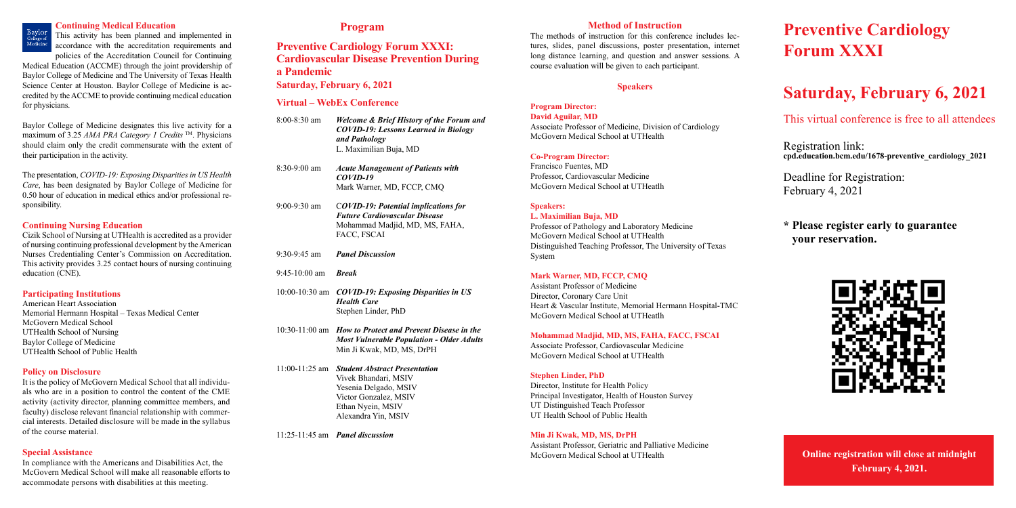### **Program**

## **Preventive Cardiology Forum XXXI: Cardiovascular Disease Prevention During a Pandemic**

**Saturday, February 6, 2021**

#### **Virtual – WebEx Conference**

| $8:00 - 8:30$ am | <b>Welcome &amp; Brief History of the Forum and</b><br><b>COVID-19: Lessons Learned in Biology</b><br>and Pathology<br>L. Maximilian Buja, MD              |
|------------------|------------------------------------------------------------------------------------------------------------------------------------------------------------|
| $8:30-9:00$ am   | <b>Acute Management of Patients with</b><br>$COVID-19$<br>Mark Warner, MD, FCCP, CMQ                                                                       |
| $9:00-9:30$ am   | <b>COVID-19: Potential implications for</b><br><b>Future Cardiovascular Disease</b><br>Mohammad Madjid, MD, MS, FAHA,<br>FACC, FSCAI                       |
| $9:30-9:45$ am   | <b>Panel Discussion</b>                                                                                                                                    |
| $9:45-10:00$ am  | <b>Break</b>                                                                                                                                               |
|                  | 10:00-10:30 am COVID-19: Exposing Disparities in US<br><b>Health Care</b><br>Stephen Linder, PhD                                                           |
| 10:30-11:00 am   | <b>How to Protect and Prevent Disease in the</b><br><b>Most Vulnerable Population - Older Adults</b><br>Min Ji Kwak, MD, MS, DrPH                          |
| $11:00-11:25$ am | <b>Student Abstract Presentation</b><br>Vivek Bhandari, MSIV<br>Yesenia Delgado, MSIV<br>Victor Gonzalez, MSIV<br>Ethan Nyein, MSIV<br>Alexandra Yin, MSIV |

11:25-11:45 am *Panel discussion*

#### **Continuing Medical Education**



This activity has been planned and implemented in accordance with the accreditation requirements and policies of the Accreditation Council for Continuing

Medical Education (ACCME) through the joint providership of Baylor College of Medicine and The University of Texas Health Science Center at Houston. Baylor College of Medicine is accredited by the ACCME to provide continuing medical education for physicians.

Baylor College of Medicine designates this live activity for a maximum of 3.25 *AMA PRA Category 1 Credits* TM. Physicians should claim only the credit commensurate with the extent of their participation in the activity.

The presentation, *COVID-19: Exposing Disparities in US Health Care*, has been designated by Baylor College of Medicine for 0.50 hour of education in medical ethics and/or professional responsibility.

#### **Continuing Nursing Education**

Cizik School of Nursing at UTHealth is accredited as a provider of nursing continuing professional development by the American Nurses Credentialing Center's Commission on Accreditation. This activity provides 3.25 contact hours of nursing continuing education (CNE).

#### **Participating Institutions**

American Heart Association Memorial Hermann Hospital – Texas Medical Center McGovern Medical School UTHealth School of Nursing Baylor College of Medicine UTHealth School of Public Health

#### **Policy on Disclosure**

It is the policy of McGovern Medical School that all individuals who are in a position to control the content of the CME activity (activity director, planning committee members, and faculty) disclose relevant financial relationship with commercial interests. Detailed disclosure will be made in the syllabus of the course material.

#### **Special Assistance**

In compliance with the Americans and Disabilities Act, the McGovern Medical School will make all reasonable efforts to accommodate persons with disabilities at this meeting.

#### **Method of Instruction**

The methods of instruction for this conference includes lectures, slides, panel discussions, poster presentation, internet long distance learning, and question and answer sessions. A course evaluation will be given to each participant.

#### **Speakers**

#### **Program Director: David Aguilar, MD**

Associate Professor of Medicine, Division of Cardiology McGovern Medical School at UTHealth

#### **Co-Program Director:**

Francisco Fuentes, MD Professor, Cardiovascular Medicine McGovern Medical School at UTHeatlh

#### **Speakers:**

**L. Maximilian Buja, MD**

Professor of Pathology and Laboratory Medicine McGovern Medical School at UTHealth Distinguished Teaching Professor, The University of Texas System

#### **Mark Warner, MD, FCCP, CMQ**

Assistant Professor of Medicine Director, Coronary Care Unit Heart & Vascular Institute, Memorial Hermann Hospital-TMC McGovern Medical School at UTHeatlh

#### **Mohammad Madjid, MD, MS, FAHA, FACC, FSCAI**

Associate Professor, Cardiovascular Medicine McGovern Medical School at UTHealth

#### **Stephen Linder, PhD**

Director, Institute for Health Policy Principal Investigator, Health of Houston Survey UT Distinguished Teach Professor UT Health School of Public Health

#### **Min Ji Kwak, MD, MS, DrPH**

Assistant Professor, Geriatric and Palliative Medicine McGovern Medical School at UTHealth

# **Preventive Cardiology Forum XXXI**

# **Saturday, February 6, 2021**

This virtual conference is free to all attendees

Registration link: **cpd.education.bcm.edu/1678-preventive\_cardiology\_2021**

Deadline for Registration: February 4, 2021

## **\* Please register early to guarantee \* your reservation.**



**Online registration will close at midnight February 4, 2021.**